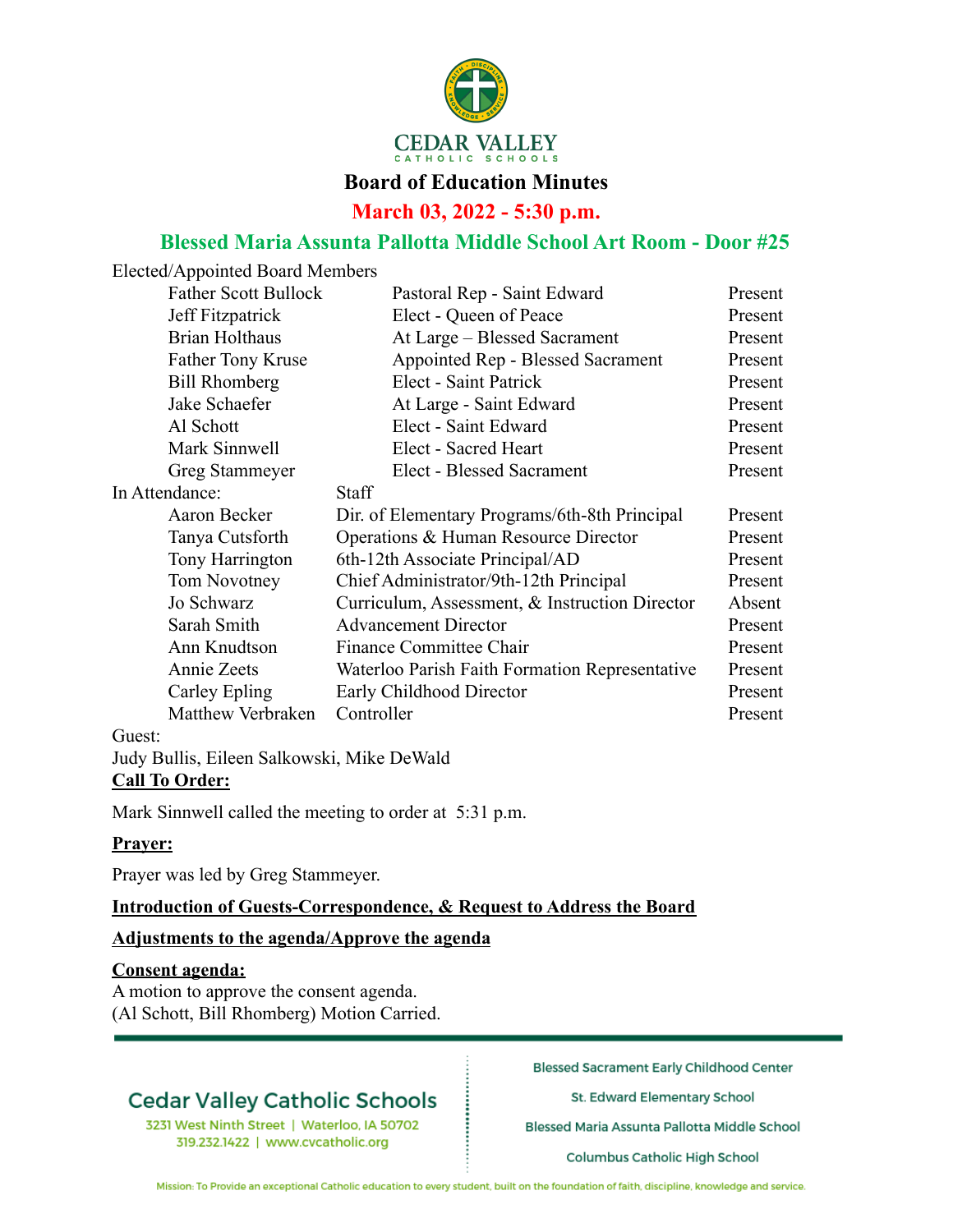

#### **Board of Education Minutes**

**March 03, 2022 - 5:30 p.m.**

## **Blessed Maria Assunta Pallotta Middle School Art Room - Door #25**

Elected/Appointed Board Members

| Pastoral Rep - Saint Edward                    | Present |
|------------------------------------------------|---------|
| Elect - Queen of Peace                         | Present |
| At Large – Blessed Sacrament                   | Present |
| Appointed Rep - Blessed Sacrament              | Present |
| Elect - Saint Patrick                          | Present |
| At Large - Saint Edward                        | Present |
| Elect - Saint Edward                           | Present |
| Elect - Sacred Heart                           | Present |
| Elect - Blessed Sacrament                      | Present |
| <b>Staff</b>                                   |         |
| Dir. of Elementary Programs/6th-8th Principal  | Present |
| Operations & Human Resource Director           | Present |
| 6th-12th Associate Principal/AD                | Present |
| Chief Administrator/9th-12th Principal         | Present |
| Curriculum, Assessment, & Instruction Director | Absent  |
| <b>Advancement Director</b>                    | Present |
| <b>Finance Committee Chair</b>                 | Present |
| Waterloo Parish Faith Formation Representative | Present |
| Early Childhood Director                       | Present |
| Controller                                     | Present |
|                                                |         |

#### Guest:

Judy Bullis, Eileen Salkowski, Mike DeWald **Call To Order:**

Mark Sinnwell called the meeting to order at 5:31 p.m.

#### **Prayer:**

Prayer was led by Greg Stammeyer.

#### **Introduction of Guests-Correspondence, & Request to Address the Board**

#### **Adjustments to the agenda/Approve the agenda**

#### **Consent agenda:**

A motion to approve the consent agenda. (Al Schott, Bill Rhomberg) Motion Carried.

## **Cedar Valley Catholic Schools**

3231 West Ninth Street | Waterloo, IA 50702 319.232.1422 | www.cvcatholic.org

**Blessed Sacrament Early Childhood Center** 

St. Edward Elementary School

Blessed Maria Assunta Pallotta Middle School

**Columbus Catholic High School**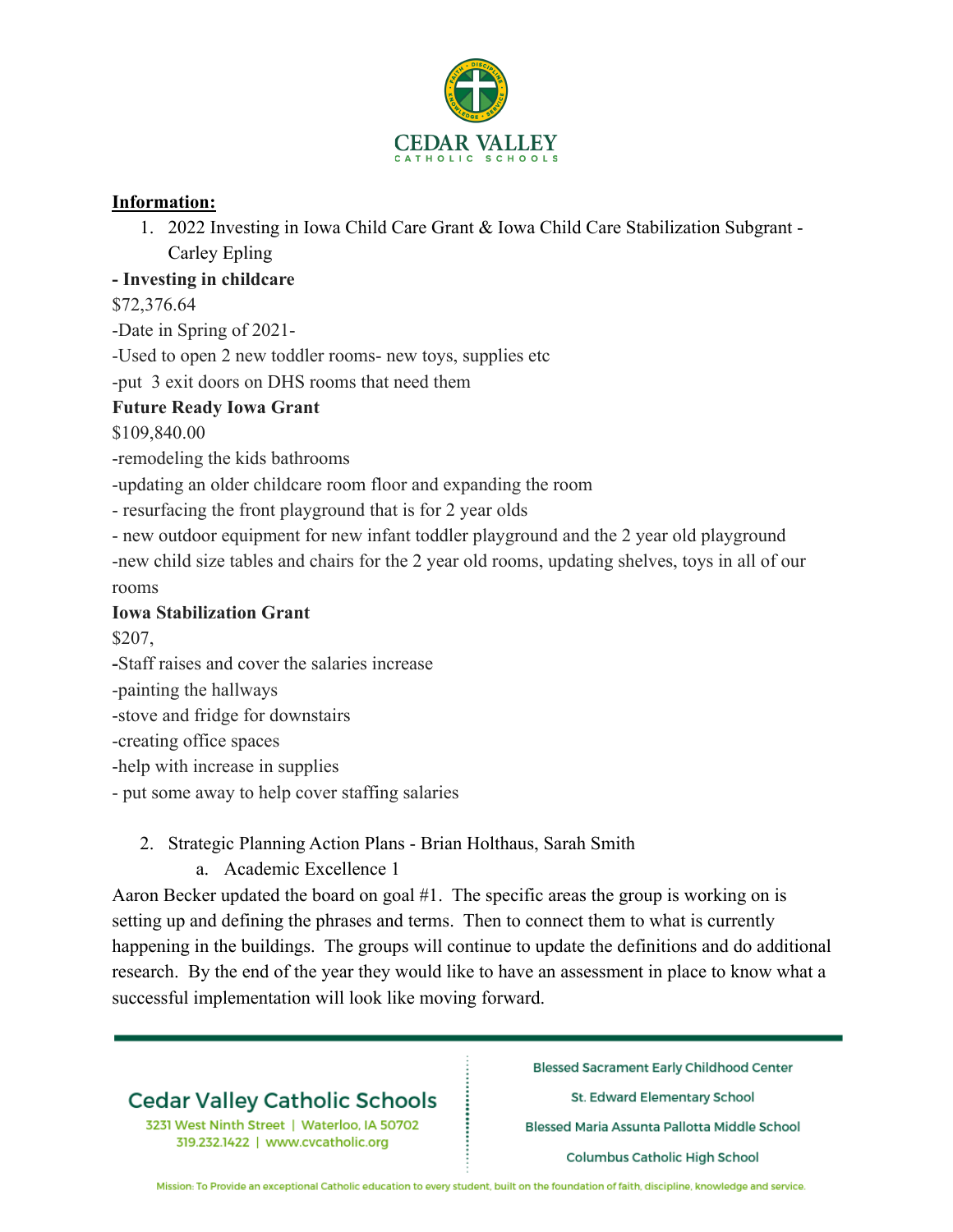

### **Information:**

1. 2022 Investing in Iowa Child Care Grant & Iowa Child Care Stabilization Subgrant - Carley Epling

### **- Investing in childcare**

\$72,376.64

-Date in Spring of 2021-

-Used to open 2 new toddler rooms- new toys, supplies etc

-put 3 exit doors on DHS rooms that need them

## **Future Ready Iowa Grant**

\$109,840.00

-remodeling the kids bathrooms

-updating an older childcare room floor and expanding the room

- resurfacing the front playground that is for 2 year olds

- new outdoor equipment for new infant toddler playground and the 2 year old playground

-new child size tables and chairs for the 2 year old rooms, updating shelves, toys in all of our rooms

### **Iowa Stabilization Grant**

\$207,

**-**Staff raises and cover the salaries increase

-painting the hallways

-stove and fridge for downstairs

-creating office spaces

-help with increase in supplies

- put some away to help cover staffing salaries

## 2. Strategic Planning Action Plans - Brian Holthaus, Sarah Smith

a. Academic Excellence 1

Aaron Becker updated the board on goal #1. The specific areas the group is working on is setting up and defining the phrases and terms. Then to connect them to what is currently happening in the buildings. The groups will continue to update the definitions and do additional research. By the end of the year they would like to have an assessment in place to know what a successful implementation will look like moving forward.

# **Cedar Valley Catholic Schools**

3231 West Ninth Street | Waterloo, IA 50702 319.232.1422 | www.cvcatholic.org

**Blessed Sacrament Early Childhood Center** 

St. Edward Elementary School

Blessed Maria Assunta Pallotta Middle School

**Columbus Catholic High School**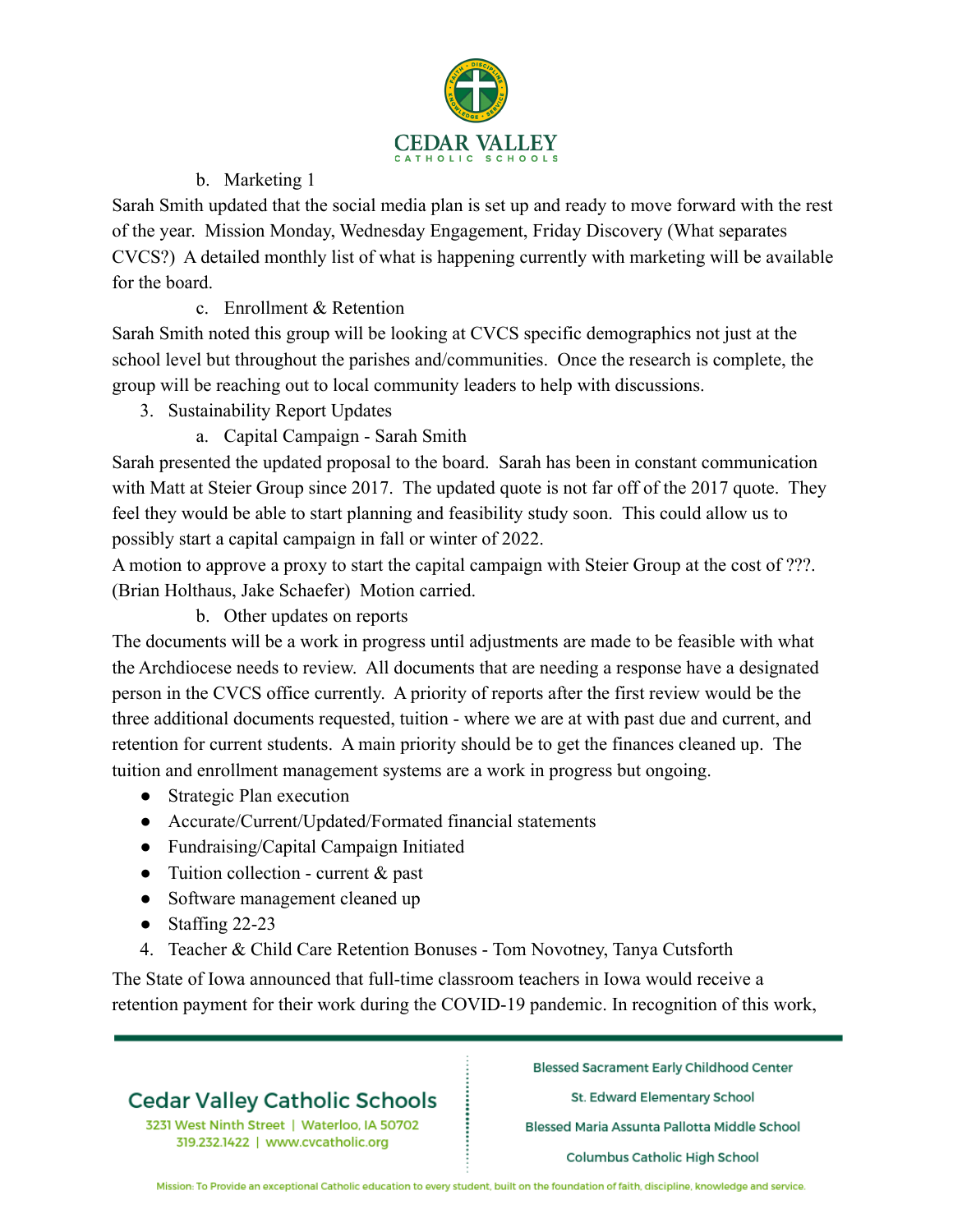

### b. Marketing 1

Sarah Smith updated that the social media plan is set up and ready to move forward with the rest of the year. Mission Monday, Wednesday Engagement, Friday Discovery (What separates CVCS?) A detailed monthly list of what is happening currently with marketing will be available for the board.

c. Enrollment & Retention

Sarah Smith noted this group will be looking at CVCS specific demographics not just at the school level but throughout the parishes and/communities. Once the research is complete, the group will be reaching out to local community leaders to help with discussions.

- 3. Sustainability Report Updates
	- a. Capital Campaign Sarah Smith

Sarah presented the updated proposal to the board. Sarah has been in constant communication with Matt at Steier Group since 2017. The updated quote is not far off of the 2017 quote. They feel they would be able to start planning and feasibility study soon. This could allow us to possibly start a capital campaign in fall or winter of 2022.

A motion to approve a proxy to start the capital campaign with Steier Group at the cost of ???. (Brian Holthaus, Jake Schaefer) Motion carried.

b. Other updates on reports

The documents will be a work in progress until adjustments are made to be feasible with what the Archdiocese needs to review. All documents that are needing a response have a designated person in the CVCS office currently. A priority of reports after the first review would be the three additional documents requested, tuition - where we are at with past due and current, and retention for current students. A main priority should be to get the finances cleaned up. The tuition and enrollment management systems are a work in progress but ongoing.

- Strategic Plan execution
- Accurate/Current/Updated/Formated financial statements
- Fundraising/Capital Campaign Initiated
- Tuition collection current  $&$  past
- Software management cleaned up
- Staffing 22-23
- 4. Teacher & Child Care Retention Bonuses Tom Novotney, Tanya Cutsforth

The State of Iowa announced that full-time classroom teachers in Iowa would receive a retention payment for their work during the COVID-19 pandemic. In recognition of this work,

# **Cedar Valley Catholic Schools**

3231 West Ninth Street | Waterloo, IA 50702 319.232.1422 | www.cvcatholic.org

**Blessed Sacrament Early Childhood Center** 

St. Edward Elementary School

Blessed Maria Assunta Pallotta Middle School

**Columbus Catholic High School**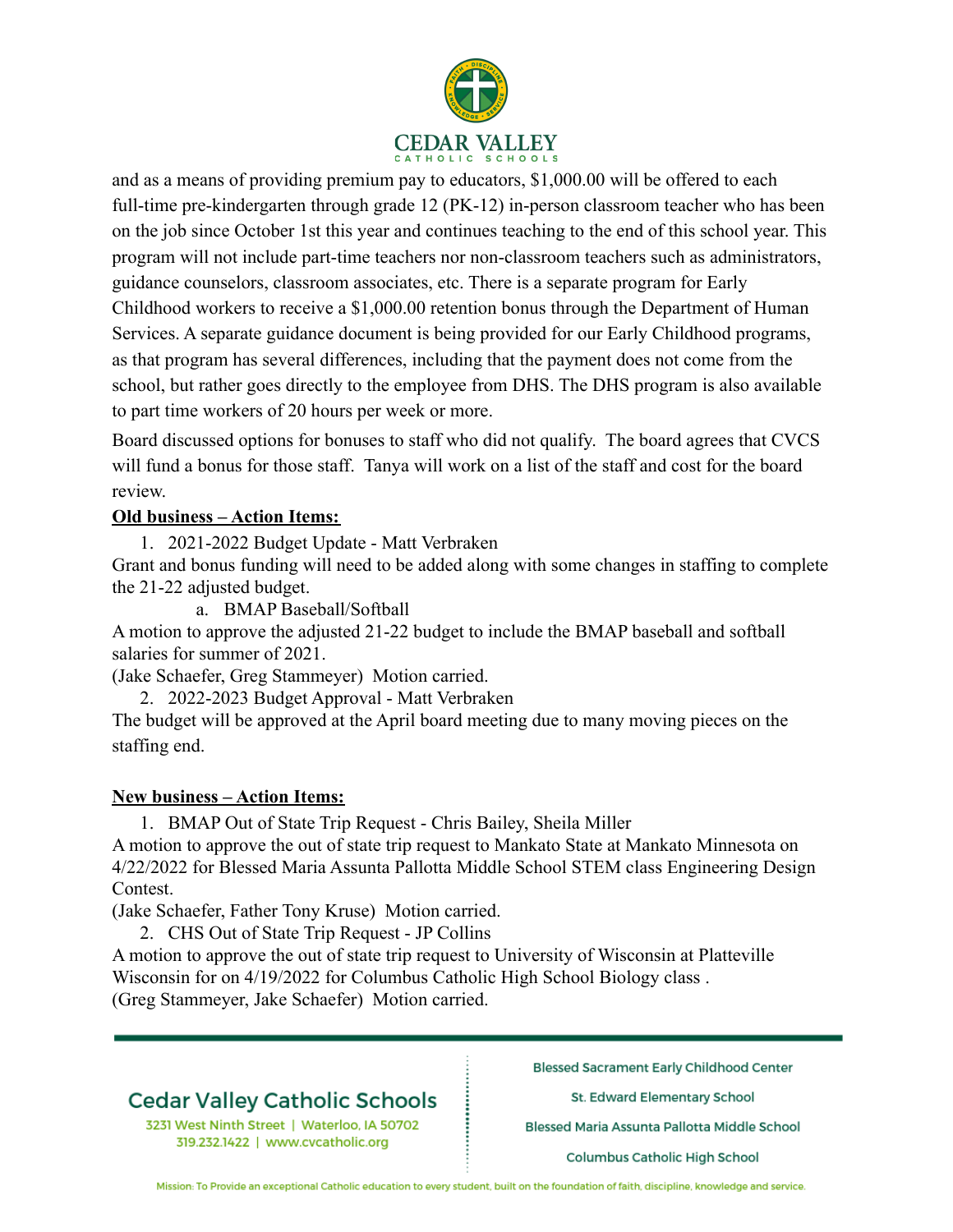

and as a means of providing premium pay to educators, \$1,000.00 will be offered to each full-time pre-kindergarten through grade 12 (PK-12) in-person classroom teacher who has been on the job since October 1st this year and continues teaching to the end of this school year. This program will not include part-time teachers nor non-classroom teachers such as administrators, guidance counselors, classroom associates, etc. There is a separate program for Early Childhood workers to receive a \$1,000.00 retention bonus through the Department of Human Services. A separate guidance document is being provided for our Early Childhood programs, as that program has several differences, including that the payment does not come from the school, but rather goes directly to the employee from DHS. The DHS program is also available to part time workers of 20 hours per week or more.

Board discussed options for bonuses to staff who did not qualify. The board agrees that CVCS will fund a bonus for those staff. Tanya will work on a list of the staff and cost for the board review.

### **Old business – Action Items:**

1. 2021-2022 Budget Update - Matt Verbraken

Grant and bonus funding will need to be added along with some changes in staffing to complete the 21-22 adjusted budget.

a. BMAP Baseball/Softball

A motion to approve the adjusted 21-22 budget to include the BMAP baseball and softball salaries for summer of 2021.

(Jake Schaefer, Greg Stammeyer) Motion carried.

2. 2022-2023 Budget Approval - Matt Verbraken

The budget will be approved at the April board meeting due to many moving pieces on the staffing end.

## **New business – Action Items:**

1. BMAP Out of State Trip Request - Chris Bailey, Sheila Miller A motion to approve the out of state trip request to Mankato State at Mankato Minnesota on 4/22/2022 for Blessed Maria Assunta Pallotta Middle School STEM class Engineering Design Contest.

(Jake Schaefer, Father Tony Kruse) Motion carried.

2. CHS Out of State Trip Request - JP Collins

A motion to approve the out of state trip request to University of Wisconsin at Platteville Wisconsin for on 4/19/2022 for Columbus Catholic High School Biology class . (Greg Stammeyer, Jake Schaefer) Motion carried.

# **Cedar Valley Catholic Schools**

3231 West Ninth Street | Waterloo, IA 50702 319.232.1422 | www.cvcatholic.org

**Blessed Sacrament Early Childhood Center** 

St. Edward Elementary School

Blessed Maria Assunta Pallotta Middle School

**Columbus Catholic High School**